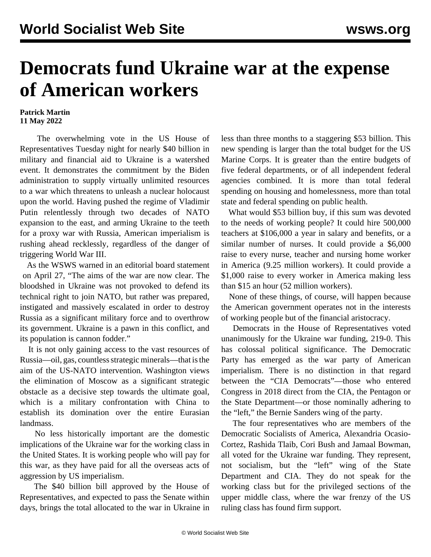## **Democrats fund Ukraine war at the expense of American workers**

## **Patrick Martin 11 May 2022**

 The overwhelming vote in the US House of Representatives Tuesday night for nearly \$40 billion in military and financial aid to Ukraine is a watershed event. It demonstrates the commitment by the Biden administration to supply virtually unlimited resources to a war which threatens to unleash a nuclear holocaust upon the world. Having pushed the regime of Vladimir Putin relentlessly through two decades of NATO expansion to the east, and arming Ukraine to the teeth for a proxy war with Russia, American imperialism is rushing ahead recklessly, regardless of the danger of triggering World War III.

 As the WSWS warned in an [editorial board statement](/en/articles/2022/04/27/pszn-a27.html) on April 27, "The aims of the war are now clear. The bloodshed in Ukraine was not provoked to defend its technical right to join NATO, but rather was prepared, instigated and massively escalated in order to destroy Russia as a significant military force and to overthrow its government. Ukraine is a pawn in this conflict, and its population is cannon fodder."

 It is not only gaining access to the vast resources of Russia—oil, gas, countless strategic minerals—that is the aim of the US-NATO intervention. Washington views the elimination of Moscow as a significant strategic obstacle as a decisive step towards the ultimate goal, which is a military confrontation with China to establish its domination over the entire Eurasian landmass.

 No less historically important are the domestic implications of the Ukraine war for the working class in the United States. It is working people who will pay for this war, as they have paid for all the overseas acts of aggression by US imperialism.

 The \$40 billion bill approved by the House of Representatives, and expected to pass the Senate within days, brings the total allocated to the war in Ukraine in less than three months to a staggering \$53 billion. This new spending is larger than the total budget for the US Marine Corps. It is greater than the entire budgets of five federal departments, or of all independent federal agencies combined. It is more than total federal spending on housing and homelessness, more than total state and federal spending on public health.

 What would \$53 billion buy, if this sum was devoted to the needs of working people? It could hire 500,000 teachers at \$106,000 a year in salary and benefits, or a similar number of nurses. It could provide a \$6,000 raise to every nurse, teacher and nursing home worker in America (9.25 million workers). It could provide a \$1,000 raise to every worker in America making less than \$15 an hour (52 million workers).

 None of these things, of course, will happen because the American government operates not in the interests of working people but of the financial aristocracy.

 Democrats in the House of Representatives voted unanimously for the Ukraine war funding, 219-0. This has colossal political significance. The Democratic Party has emerged as the war party of American imperialism. There is no distinction in that regard between the "CIA Democrats"—those who entered Congress in 2018 direct from the CIA, the Pentagon or the State Department—or those nominally adhering to the "left," the Bernie Sanders wing of the party.

 The four representatives who are members of the Democratic Socialists of America, Alexandria Ocasio-Cortez, Rashida Tlaib, Cori Bush and Jamaal Bowman, all voted for the Ukraine war funding. They represent, not socialism, but the "left" wing of the State Department and CIA. They do not speak for the working class but for the privileged sections of the upper middle class, where the war frenzy of the US ruling class has found firm support.